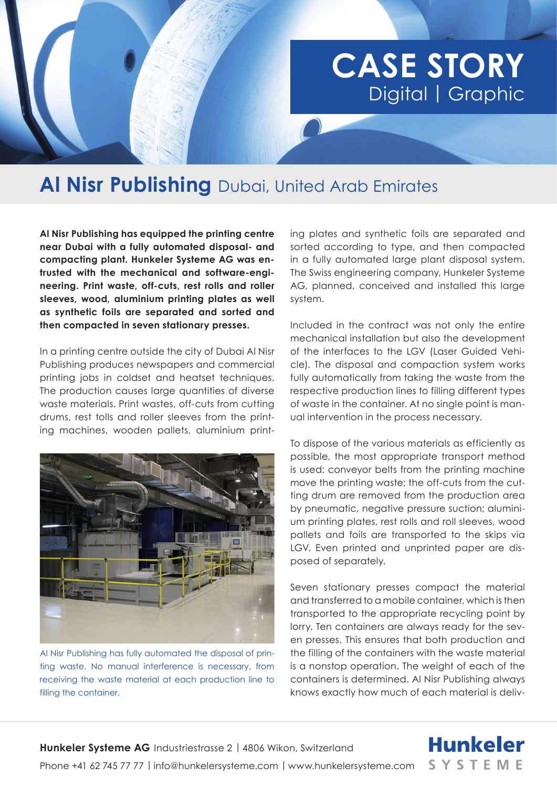## **CASE STORY**  Digital | Graphic

## **Al Nisr Publishing** Dubai, United Arab Emirates

**Al Nisr Publishing has equipped the printing centre near Dubai with a fully automated disposal- and compacting plant. Hunkeler Systeme AG was entrusted with the mechanical and software-engineering. Print waste, off-cuts, rest rolls and roller sleeves, wood, aluminium printing plates as well as synthetic foils are separated and sorted and then compacted in seven stationary presses.**

In a printing centre outside the city of Dubai Al Nisr Publishing produces newspapers and commercial printing jobs in coldset and heatset techniques. The production causes large quantities of diverse waste materials. Print wastes, off-cuts from cutting drums, rest tolls and roller sleeves from the printing machines, wooden pallets, aluminium print-



Al Nisr Publishing has fully automated the disposal of printing waste. No manual interference is necessary, from receiving the waste material at each production line to filling the container.

ing plates and synthetic foils are separated and sorted according to type, and then compacted in a fully automated large plant disposal system. The Swiss engineering company, Hunkeler Systeme AG, planned, conceived and installed this large system.

Included in the contract was not only the entire mechanical installation but also the development of the interfaces to the LGV (Laser Guided Vehicle). The disposal and compaction system works fully automatically from taking the waste from the respective production lines to filling different types of waste in the container. At no single point is manual intervention in the process necessary.

To dispose of the various materials as efficiently as possible, the most appropriate transport method is used: conveyor belts from the printing machine move the printing waste; the off-cuts from the cutting drum are removed from the production area by pneumatic, negative pressure suction; aluminium printing plates, rest rolls and roll sleeves, wood pallets and foils are transported to the skips via LGV. Even printed and unprinted paper are disposed of separately.

Seven stationary presses compact the material and transferred to a mobile container, which is then transported to the appropriate recycling point by lorry. Ten containers are always ready for the seven presses. This ensures that both production and the filling of the containers with the waste material is a nonstop operation. The weight of each of the containers is determined. Al Nisr Publishing always knows exactly how much of each material is deliv